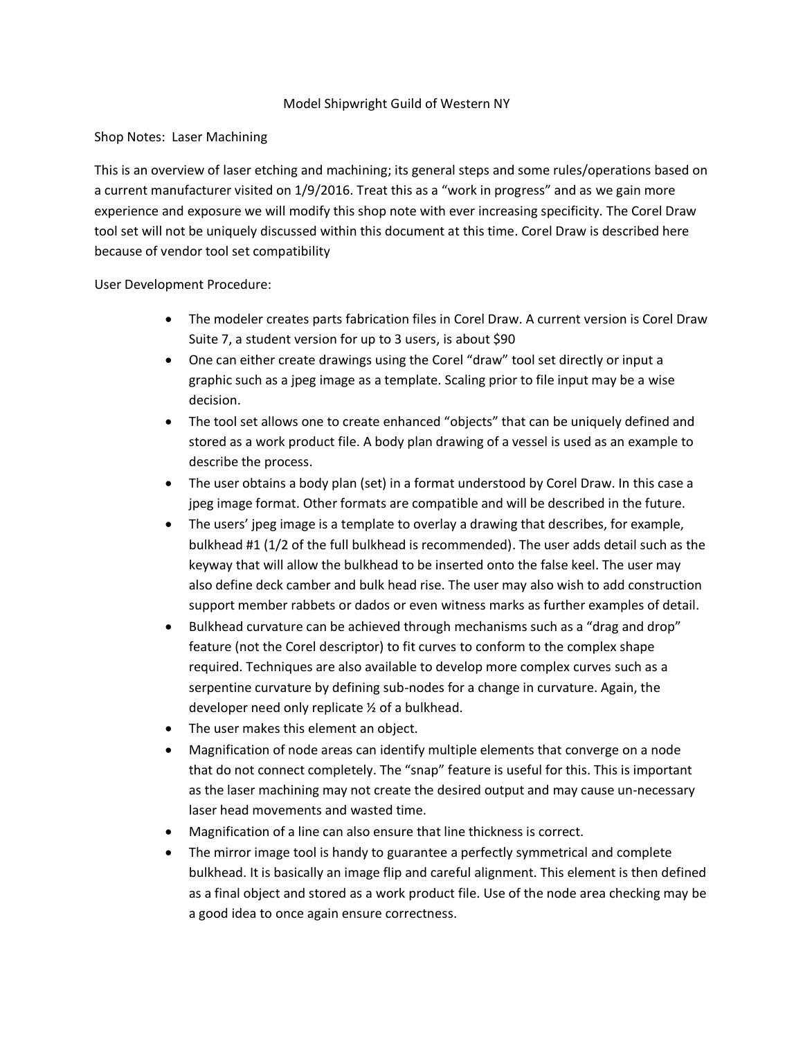## Model Shipwright Guild of Western NY

## Shop Notes: Laser Machining

This is an overview of laser etching and machining; its general steps and some rules/operations based on a current manufacturer visited on 1/9/2016. Treat this as a "work in progress" and as we gain more experience and exposure we will modify this shop note with ever increasing specificity. The Corel Draw tool set will not be uniquely discussed within this document at this time. Corel Draw is described here because of vendor tool set compatibility

User Development Procedure:

- The modeler creates parts fabrication files in Corel Draw. A current version is Corel Draw Suite 7, a student version for up to 3 users, is about \$90
- One can either create drawings using the Corel "draw" tool set directly or input a graphic such as a jpeg image as a template. Scaling prior to file input may be a wise decision.
- The tool set allows one to create enhanced "objects" that can be uniquely defined and stored as a work product file. A body plan drawing of a vessel is used as an example to describe the process.
- The user obtains a body plan (set) in a format understood by Corel Draw. In this case a jpeg image format. Other formats are compatible and will be described in the future.
- The users' jpeg image is a template to overlay a drawing that describes, for example, bulkhead #1 (1/2 of the full bulkhead is recommended). The user adds detail such as the keyway that will allow the bulkhead to be inserted onto the false keel. The user may also define deck camber and bulk head rise. The user may also wish to add construction support member rabbets or dados or even witness marks as further examples of detail.
- Bulkhead curvature can be achieved through mechanisms such as a "drag and drop" feature (not the Corel descriptor) to fit curves to conform to the complex shape required. Techniques are also available to develop more complex curves such as a serpentine curvature by defining sub-nodes for a change in curvature. Again, the developer need only replicate ½ of a bulkhead.
- The user makes this element an object.
- Magnification of node areas can identify multiple elements that converge on a node that do not connect completely. The "snap" feature is useful for this. This is important as the laser machining may not create the desired output and may cause un-necessary laser head movements and wasted time.
- Magnification of a line can also ensure that line thickness is correct.
- The mirror image tool is handy to guarantee a perfectly symmetrical and complete bulkhead. It is basically an image flip and careful alignment. This element is then defined as a final object and stored as a work product file. Use of the node area checking may be a good idea to once again ensure correctness.